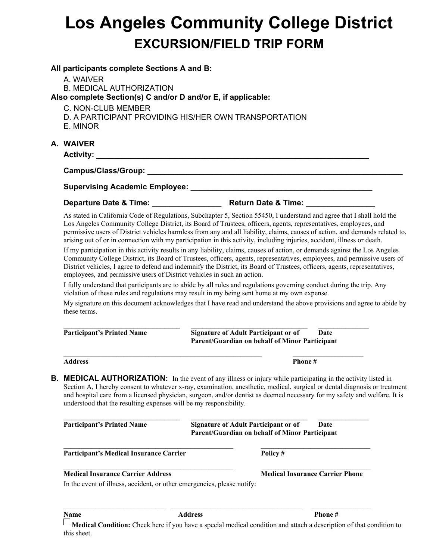# **Los Angeles Community College District EXCURSION/FIELD TRIP FORM**

#### **All participants complete Sections A and B:**

A. WAIVER

B. MEDICAL AUTHORIZATION

**Also complete Section(s) C and/or D and/or E, if applicable:** 

C. NON-CLUB MEMBER

- D. A PARTICIPANT PROVIDING HIS/HER OWN TRANSPORTATION
- E. MINOR

# **A. WAIVER**

**Activity:** \_\_\_\_\_\_\_\_\_\_\_\_\_\_\_\_\_\_\_\_\_\_\_\_\_\_\_\_\_\_\_\_\_\_\_\_\_\_\_\_\_\_\_\_\_\_\_\_\_\_\_\_\_\_\_\_\_\_\_\_\_\_\_

## **Campus/Class/Group:** \_\_\_\_\_\_\_\_\_\_\_\_\_\_\_\_\_\_\_\_\_\_\_\_\_\_\_\_\_\_\_\_\_\_\_\_\_\_\_\_\_\_\_\_\_\_\_\_\_\_\_\_\_\_\_\_\_\_\_

**Supervising Academic Employee:** \_\_\_\_\_\_\_\_\_\_\_\_\_\_\_\_\_\_\_\_\_\_\_\_\_\_\_\_\_\_\_\_\_\_\_\_\_\_\_\_\_\_

## **Departure Date & Time:** \_\_\_\_\_\_\_\_\_\_\_\_\_\_\_\_ **Return Date & Time:** \_\_\_\_\_\_\_\_\_\_\_\_\_\_\_\_

As stated in California Code of Regulations, Subchapter 5, Section 55450, I understand and agree that I shall hold the Los Angeles Community College District, its Board of Trustees, officers, agents, representatives, employees, and permissive users of District vehicles harmless from any and all liability, claims, causes of action, and demands related to, arising out of or in connection with my participation in this activity, including injuries, accident, illness or death.

If my participation in this activity results in any liability, claims, causes of action, or demands against the Los Angeles Community College District, its Board of Trustees, officers, agents, representatives, employees, and permissive users of District vehicles, I agree to defend and indemnify the District, its Board of Trustees, officers, agents, representatives, employees, and permissive users of District vehicles in such an action.

I fully understand that participants are to abide by all rules and regulations governing conduct during the trip. Any violation of these rules and regulations may result in my being sent home at my own expense.

My signature on this document acknowledges that I have read and understand the above provisions and agree to abide by these terms.

| <b>Participant's Printed Name</b>                                                                                                                                                            |                | <b>Signature of Adult Participant or of</b><br>Parent/Guardian on behalf of Minor Participant        | Date                                                                                                                                                                                                                                                    |
|----------------------------------------------------------------------------------------------------------------------------------------------------------------------------------------------|----------------|------------------------------------------------------------------------------------------------------|---------------------------------------------------------------------------------------------------------------------------------------------------------------------------------------------------------------------------------------------------------|
| <b>Address</b>                                                                                                                                                                               |                | Phone#                                                                                               |                                                                                                                                                                                                                                                         |
| В.<br><b>MEDICAL AUTHORIZATION:</b> In the event of any illness or injury while participating in the activity listed in<br>understood that the resulting expenses will be my responsibility. |                |                                                                                                      | Section A, I hereby consent to whatever x-ray, examination, anesthetic, medical, surgical or dental diagnosis or treatment<br>and hospital care from a licensed physician, surgeon, and/or dentist as deemed necessary for my safety and welfare. It is |
| <b>Participant's Printed Name</b>                                                                                                                                                            |                | <b>Signature of Adult Participant or of</b><br><b>Parent/Guardian on behalf of Minor Participant</b> | Date                                                                                                                                                                                                                                                    |
| Participant's Medical Insurance Carrier                                                                                                                                                      |                | Policy#                                                                                              |                                                                                                                                                                                                                                                         |
| <b>Medical Insurance Carrier Address</b><br>In the event of illness, accident, or other emergencies, please notify:                                                                          |                |                                                                                                      | <b>Medical Insurance Carrier Phone</b>                                                                                                                                                                                                                  |
| Name                                                                                                                                                                                         | <b>Address</b> |                                                                                                      | Phone#                                                                                                                                                                                                                                                  |

**Medical Condition:** Check here if you have a special medical condition and attach a description of that condition to this sheet.